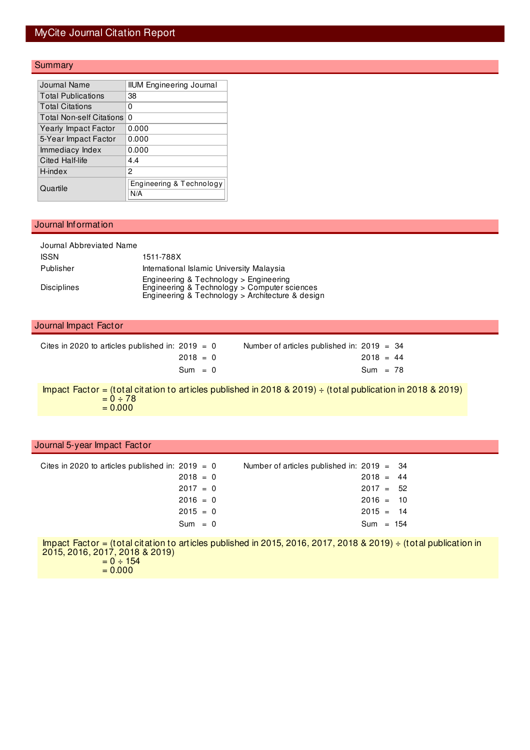### MyCite Journal Citation Report

### **Summary**

| Journal Name                    | <b>IIUM Engineering Journal</b> |
|---------------------------------|---------------------------------|
| Total Publications              | 38                              |
| <b>Total Citations</b>          | 0                               |
| <b>Total Non-self Citations</b> | 0                               |
| <b>Yearly Impact Factor</b>     | 0.000                           |
| 5-Year Impact Factor            | 0.000                           |
| Immediacy Index                 | 0.000                           |
| Cited Half-life                 | 4.4                             |
| H-index                         | 2                               |
| Quartile                        | Engineering & Technology<br>N/A |

#### Journal Information

| Journal Abbreviated Name |                                                                                                                                            |
|--------------------------|--------------------------------------------------------------------------------------------------------------------------------------------|
| <b>ISSN</b>              | 1511-788X                                                                                                                                  |
| Publisher                | International Islamic University Malaysia                                                                                                  |
| <b>Disciplines</b>       | Engineering & Technology > Engineering<br>Engineering & Technology > Computer sciences<br>Engineering & Technology > Architecture & design |

#### Journal Impact Factor

| Cites in 2020 to articles published in: $2019 = 0$ | Number of articles published in: $2019 = 34$ |
|----------------------------------------------------|----------------------------------------------|
| $2018 = 0$                                         | $2018 = 44$                                  |
| $Sum = 0$                                          | $Sum = 78$                                   |

Impact Factor = (total citation to articles published in 2018 & 2019) ÷ (total publication in 2018 & 2019)  $= 0 \div 78$  $= 0.000$ 

#### Journal 5-year Impact Factor

| Cites in 2020 to articles published in: $2019 = 0$ |            | Number of articles published in: $2019 = 34$ |             |  |
|----------------------------------------------------|------------|----------------------------------------------|-------------|--|
|                                                    | $2018 = 0$ |                                              | $2018 = 44$ |  |
|                                                    | $2017 = 0$ |                                              | $2017 = 52$ |  |
|                                                    | $2016 = 0$ |                                              | $2016 = 10$ |  |
|                                                    | $2015 = 0$ |                                              | $2015 = 14$ |  |
|                                                    | $Sum = 0$  |                                              | $Sum = 154$ |  |
|                                                    |            |                                              |             |  |

Impact Factor = (total citation to articles published in 2015, 2016, 2017, 2018 & 2019) ÷ (total publication in 2015, 2016, 2017, 2018 & 2019)  $= 0 \div 154$  $= 0.000$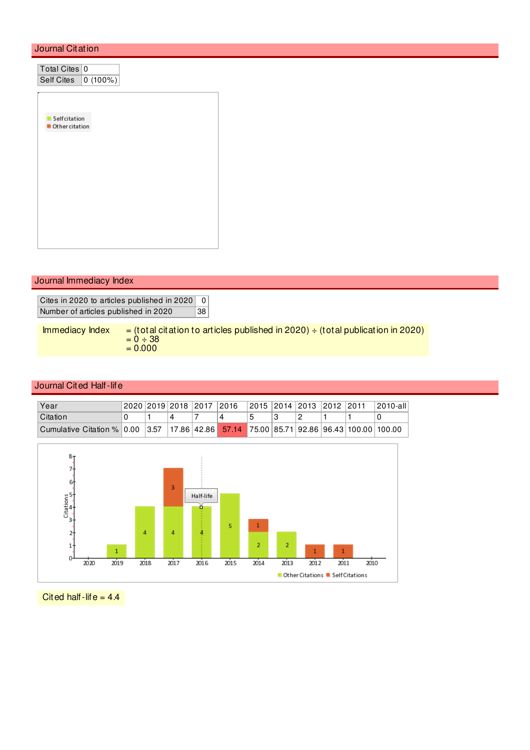#### Journal Citation

| Total Cites 0       |  |
|---------------------|--|
| Self Cites 0 (100%) |  |
|                     |  |
|                     |  |
| Selfcitation<br>٠   |  |
| Other citation      |  |
|                     |  |
|                     |  |
|                     |  |
|                     |  |
|                     |  |
|                     |  |
|                     |  |
|                     |  |
|                     |  |
|                     |  |

#### Journal Immediacy Index

Cites in 2020 to articles published in 2020 0 Number of articles published in 2020 38

Immediacy Index  $=$  (total citation to articles published in 2020)  $\div$  (total publication in 2020)  $= 0 \div 38$  $= 0.000$ 

#### Journal Cited Half-life

| Year                                                                                    |  | !2020 2019 2018 2017 2016 |  | 2015   2014   2013   2012   2011 |  | $ 2010-a  $ |
|-----------------------------------------------------------------------------------------|--|---------------------------|--|----------------------------------|--|-------------|
| Citation                                                                                |  |                           |  |                                  |  |             |
| Cumulative Citation % 0.00 3.57 17.86 42.86 57.14 75.00 85.71 92.86 96.43 100.00 100.00 |  |                           |  |                                  |  |             |



Cited half-life =  $4.4$